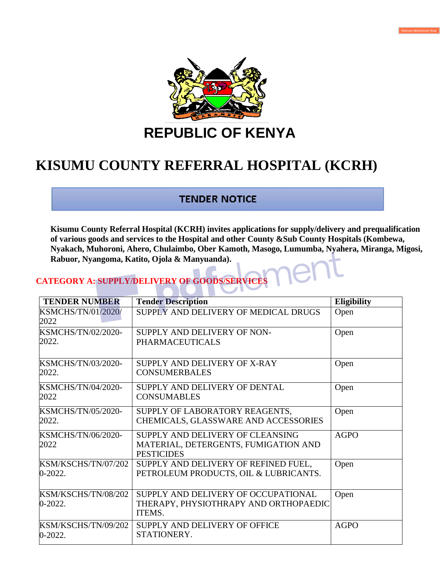

**REPUBLIC OF KENYA**

# **KISUMU COUNTY REFERRAL HOSPITAL (KCRH)**

## **TENDER NOTICE**

**Kisumu County Referral Hospital (KCRH) invites applications for supply/delivery and prequalification of various goods and services to the Hospital and other County &Sub County Hospitals (Kombewa, Nyakach, Muhoroni, Ahero, Chulaimbo, Ober Kamoth, Masogo, Lumumba, Nyahera, Miranga, Migosi, Rabuor, Nyangoma, Katito, Ojola & Manyuanda).**

### **CATEGORY A: SUPPLY/DELIVERY OF GOODS/SERVICE**

| <b>TENDER NUMBER</b>               | <b>Tender Description</b>                                                                     | <b>Eligibility</b> |
|------------------------------------|-----------------------------------------------------------------------------------------------|--------------------|
| <b>KSMCHS/TN/01/2020/</b><br>2022  | SUPPLY AND DELIVERY OF MEDICAL DRUGS                                                          | Open               |
| <b>KSMCHS/TN/02/2020-</b><br>2022. | SUPPLY AND DELIVERY OF NON-<br><b>PHARMACEUTICALS</b>                                         | Open               |
| <b>KSMCHS/TN/03/2020-</b><br>2022. | SUPPLY AND DELIVERY OF X-RAY<br><b>CONSUMERBALES</b>                                          | Open               |
| <b>KSMCHS/TN/04/2020-</b><br>2022  | SUPPLY AND DELIVERY OF DENTAL<br><b>CONSUMABLES</b>                                           | Open               |
| <b>KSMCHS/TN/05/2020-</b><br>2022. | SUPPLY OF LABORATORY REAGENTS,<br>CHEMICALS, GLASSWARE AND ACCESSORIES                        | Open               |
| <b>KSMCHS/TN/06/2020-</b><br>2022  | SUPPLY AND DELIVERY OF CLEANSING<br>MATERIAL, DETERGENTS, FUMIGATION AND<br><b>PESTICIDES</b> | <b>AGPO</b>        |
| KSM/KSCHS/TN/07/202<br>$0-2022.$   | SUPPLY AND DELIVERY OF REFINED FUEL,<br>PETROLEUM PRODUCTS, OIL & LUBRICANTS.                 | Open               |
| KSM/KSCHS/TN/08/202<br>$0-2022.$   | SUPPLY AND DELIVERY OF OCCUPATIONAL<br>THERAPY, PHYSIOTHRAPY AND ORTHOPAEDIC<br>ITEMS.        | Open               |
| KSM/KSCHS/TN/09/202<br>$0-2022.$   | SUPPLY AND DELIVERY OF OFFICE<br>STATIONERY.                                                  | <b>AGPO</b>        |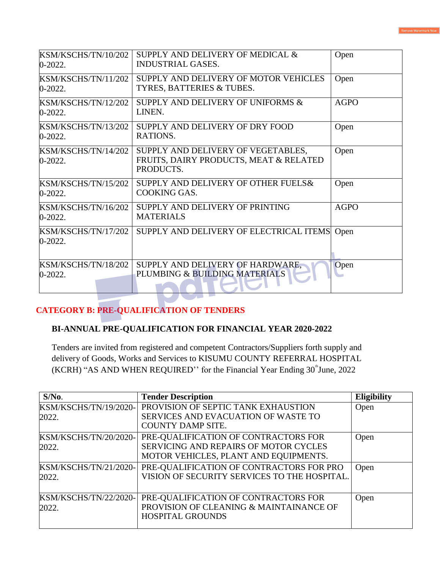| KSM/KSCHS/TN/10/202<br>$0-2022.$ | SUPPLY AND DELIVERY OF MEDICAL &<br><b>INDUSTRIAL GASES.</b>                              | Open        |
|----------------------------------|-------------------------------------------------------------------------------------------|-------------|
| KSM/KSCHS/TN/11/202<br>$0-2022.$ | SUPPLY AND DELIVERY OF MOTOR VEHICLES<br>TYRES, BATTERIES & TUBES.                        | Open        |
| KSM/KSCHS/TN/12/202<br>$0-2022.$ | SUPPLY AND DELIVERY OF UNIFORMS &<br>LINEN.                                               | <b>AGPO</b> |
| KSM/KSCHS/TN/13/202<br>$0-2022.$ | SUPPLY AND DELIVERY OF DRY FOOD<br>RATIONS.                                               | Open        |
| KSM/KSCHS/TN/14/202<br>$0-2022.$ | SUPPLY AND DELIVERY OF VEGETABLES,<br>FRUITS, DAIRY PRODUCTS, MEAT & RELATED<br>PRODUCTS. | Open        |
| KSM/KSCHS/TN/15/202<br>$0-2022.$ | SUPPLY AND DELIVERY OF OTHER FUELS &<br>COOKING GAS.                                      | Open        |
| KSM/KSCHS/TN/16/202<br>$0-2022.$ | SUPPLY AND DELIVERY OF PRINTING<br><b>MATERIALS</b>                                       | <b>AGPO</b> |
| KSM/KSCHS/TN/17/202<br>0-2022.   | SUPPLY AND DELIVERY OF ELECTRICAL ITEMS                                                   | Open        |
| KSM/KSCHS/TN/18/202<br>0-2022.   | SUPPLY AND DELIVERY OF HARDWARE,<br>PLUMBING & BUILDING MATERIALS                         | Open        |

#### **CATEGORY B: PRE-QUALIFICATION OF TENDERS**

#### **BI-ANNUAL PRE-QUALIFICATION FOR FINANCIAL YEAR 2020-2022**

**Service** 

Tenders are invited from registered and competent Contractors/Suppliers forth supply and delivery of Goods, Works and Services to KISUMU COUNTY REFERRAL HOSPITAL  $(KCRH)$  "AS AND WHEN REQUIRED" for the Financial Year Ending  $30^{\degree}$ June, 2022

| $S/N0$ .                               | <b>Tender Description</b>                                                                                                     | <b>Eligibility</b> |
|----------------------------------------|-------------------------------------------------------------------------------------------------------------------------------|--------------------|
| KSM/KSCHS/TN/19/2020-<br>2022.         | PROVISION OF SEPTIC TANK EXHAUSTION<br>SERVICES AND EVACUATION OF WASTE TO<br><b>COUNTY DAMP SITE.</b>                        | Open               |
| KSM/KSCHS/TN/20/2020-<br>2022.         | PRE-QUALIFICATION OF CONTRACTORS FOR<br><b>SERVICING AND REPAIRS OF MOTOR CYCLES</b><br>MOTOR VEHICLES, PLANT AND EQUIPMENTS. | Open               |
| KSM/KSCHS/TN/21/2020-<br>2022.         | PRE-QUALIFICATION OF CONTRACTORS FOR PRO<br>VISION OF SECURITY SERVICES TO THE HOSPITAL.                                      | Open               |
| <b>KSM/KSCHS/TN/22/2020-1</b><br>2022. | PRE-QUALIFICATION OF CONTRACTORS FOR<br>PROVISION OF CLEANING & MAINTAINANCE OF<br><b>HOSPITAL GROUNDS</b>                    | Open               |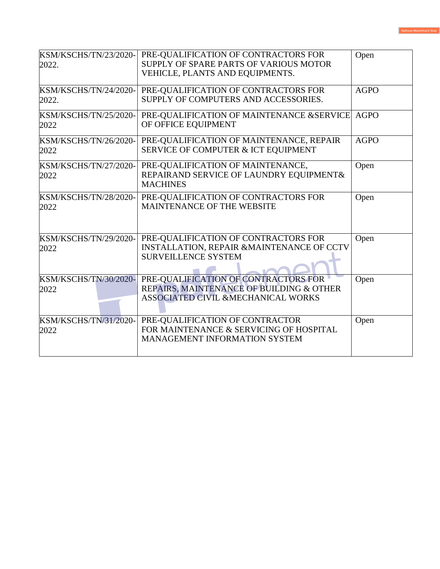| KSM/KSCHS/TN/23/2020-<br>2022.        | PRE-QUALIFICATION OF CONTRACTORS FOR<br>SUPPLY OF SPARE PARTS OF VARIOUS MOTOR<br>VEHICLE, PLANTS AND EQUIPMENTS.                 | Open        |
|---------------------------------------|-----------------------------------------------------------------------------------------------------------------------------------|-------------|
| <b>KSM/KSCHS/TN/24/2020-</b><br>2022. | PRE-QUALIFICATION OF CONTRACTORS FOR<br>SUPPLY OF COMPUTERS AND ACCESSORIES.                                                      | <b>AGPO</b> |
| <b>KSM/KSCHS/TN/25/2020-</b><br>2022  | PRE-QUALIFICATION OF MAINTENANCE &SERVICE AGPO<br>OF OFFICE EQUIPMENT                                                             |             |
| <b>KSM/KSCHS/TN/26/2020-</b><br>2022  | PRE-QUALIFICATION OF MAINTENANCE, REPAIR<br>SERVICE OF COMPUTER & ICT EQUIPMENT                                                   | <b>AGPO</b> |
| <b>KSM/KSCHS/TN/27/2020-</b><br>2022  | PRE-QUALIFICATION OF MAINTENANCE,<br>REPAIRAND SERVICE OF LAUNDRY EQUIPMENT&<br><b>MACHINES</b>                                   | Open        |
| KSM/KSCHS/TN/28/2020-<br>2022         | PRE-QUALIFICATION OF CONTRACTORS FOR<br>MAINTENANCE OF THE WEBSITE                                                                | Open        |
| KSM/KSCHS/TN/29/2020-<br>2022         | PRE-QUALIFICATION OF CONTRACTORS FOR<br>INSTALLATION, REPAIR &MAINTENANCE OF CCTV<br><b>SURVEILLENCE SYSTEM</b>                   | Open        |
| KSM/KSCHS/TN/30/2020-<br>2022         | PRE-QUALIFICATION OF CONTRACTORS FOR<br>REPAIRS, MAINTENANCE OF BUILDING & OTHER<br><b>ASSOCIATED CIVIL &amp;MECHANICAL WORKS</b> | Open        |
| KSM/KSCHS/TN/31/2020-<br>2022         | PRE-QUALIFICATION OF CONTRACTOR<br>FOR MAINTENANCE & SERVICING OF HOSPITAL<br><b>MANAGEMENT INFORMATION SYSTEM</b>                | Open        |